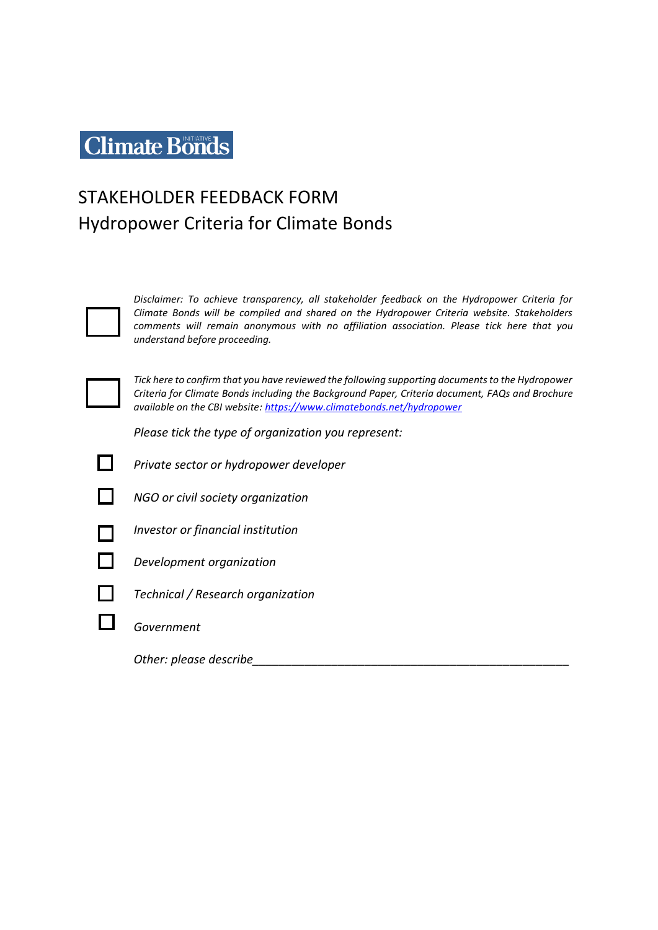# **Climate Bonds**

# STAKEHOLDER FEEDBACK FORM Hydropower Criteria for Climate Bonds



*Disclaimer: To achieve transparency, all stakeholder feedback on the Hydropower Criteria for Climate Bonds will be compiled and shared on the Hydropower Criteria website. Stakeholders comments will remain anonymous with no affiliation association. Please tick here that you understand before proceeding.* 



*Please tick the type of organization you represent:*

*Private sector or hydropower developer* 



П

*NGO or civil society organization* 



*Investor or financial institution* 

*Development organization* 



*Technical / Research organization* 

*Government*

*Other: please describe\_\_\_\_\_\_\_\_\_\_\_\_\_\_\_\_\_\_\_\_\_\_\_\_\_\_\_\_\_\_\_\_\_\_\_\_\_\_\_\_\_\_\_\_\_\_\_\_*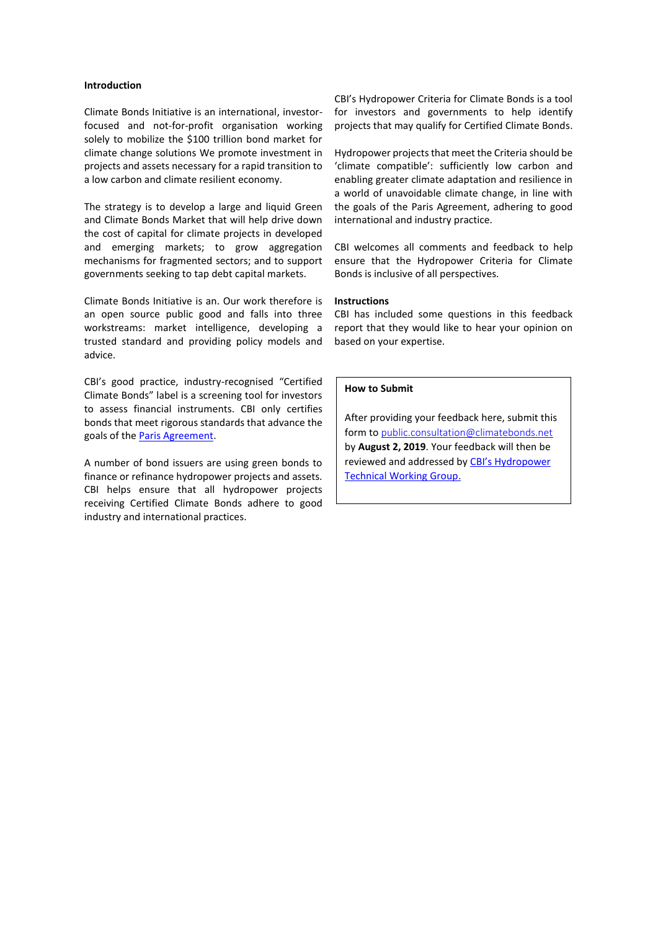# **Introduction**

Climate Bonds Initiative is an international, investorfocused and not-for-profit organisation working solely to mobilize the \$100 trillion bond market for climate change solutions We promote investment in projects and assets necessary for a rapid transition to a low carbon and climate resilient economy.

The strategy is to develop a large and liquid Green and Climate Bonds Market that will help drive down the cost of capital for climate projects in developed and emerging markets; to grow aggregation mechanisms for fragmented sectors; and to support governments seeking to tap debt capital markets.

Climate Bonds Initiative is an. Our work therefore is an open source public good and falls into three workstreams: market intelligence, developing a trusted standard and providing policy models and advice.

CBI's good practice, industry-recognised "Certified Climate Bonds" label is a screening tool for investors to assess financial instruments. CBI only certifies bonds that meet rigorous standards that advance the goals of the [Paris Agreement.](https://unfccc.int/process-and-meetings/the-paris-agreement/d2hhdC1pcy)

A number of bond issuers are using green bonds to finance or refinance hydropower projects and assets. CBI helps ensure that all hydropower projects receiving Certified Climate Bonds adhere to good industry and international practices.

CBI's Hydropower Criteria for Climate Bonds is a tool for investors and governments to help identify projects that may qualify for Certified Climate Bonds.

Hydropower projects that meet the Criteria should be 'climate compatible': sufficiently low carbon and enabling greater climate adaptation and resilience in a world of unavoidable climate change, in line with the goals of the Paris Agreement, adhering to good international and industry practice.

CBI welcomes all comments and feedback to help ensure that the Hydropower Criteria for Climate Bonds is inclusive of all perspectives.

#### **Instructions**

CBI has included some questions in this feedback report that they would like to hear your opinion on based on your expertise.

### **How to Submit**

After providing your feedback here, submit this form to [public.consultation@climatebonds.net](mailto:public.consultation@climatebonds.net) by **August 2, 2019**. Your feedback will then be reviewed and addressed by [CBI's Hydropower](https://www.climatebonds.net/hydropower)  [Technical Working Group.](https://www.climatebonds.net/hydropower)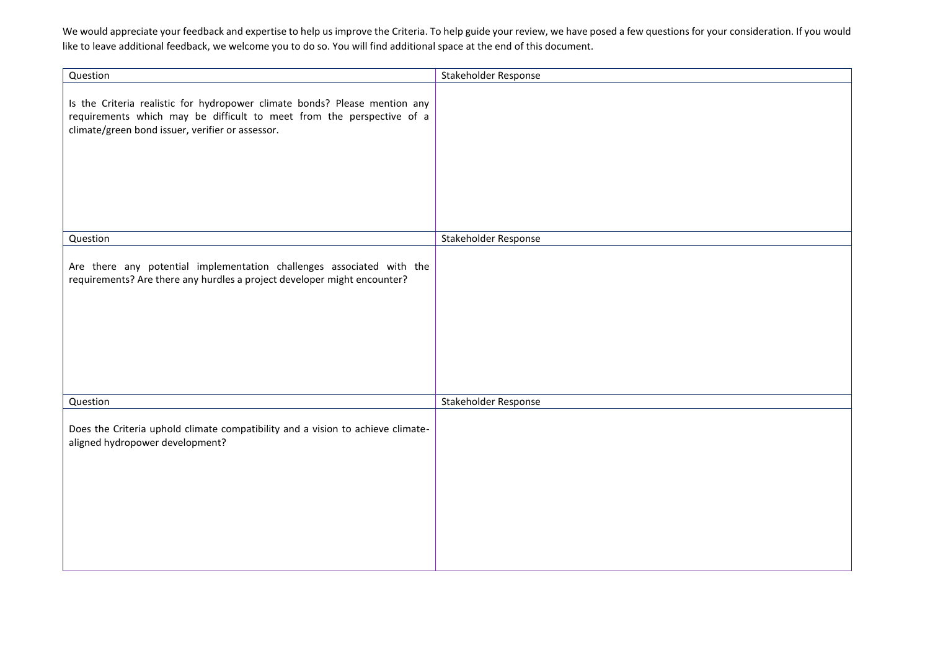We would appreciate your feedback and expertise to help us improve the Criteria. To help guide your review, we have posed a few questions for your consideration. If you would like to leave additional feedback, we welcome you to do so. You will find additional space at the end of this document.

| Question                                                                                                                                                                                                | Stakeholder Response |
|---------------------------------------------------------------------------------------------------------------------------------------------------------------------------------------------------------|----------------------|
| Is the Criteria realistic for hydropower climate bonds? Please mention any<br>requirements which may be difficult to meet from the perspective of a<br>climate/green bond issuer, verifier or assessor. |                      |
| Question                                                                                                                                                                                                | Stakeholder Response |
| Are there any potential implementation challenges associated with the<br>requirements? Are there any hurdles a project developer might encounter?                                                       |                      |
| Question                                                                                                                                                                                                | Stakeholder Response |
| Does the Criteria uphold climate compatibility and a vision to achieve climate-<br>aligned hydropower development?                                                                                      |                      |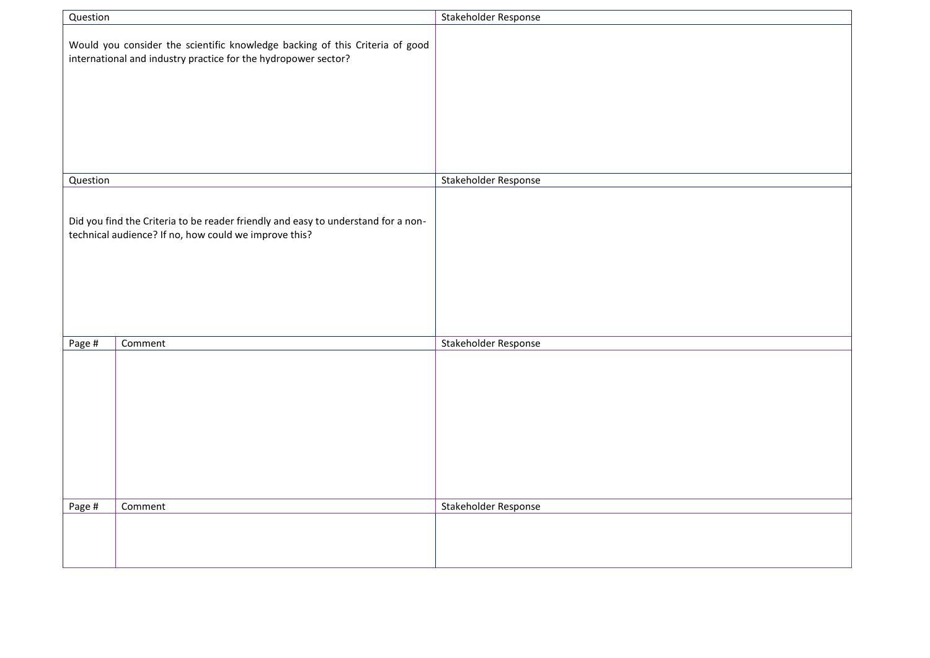| Question                                                                                                                                   |                                                                                                                                                | Stakeholder Response |
|--------------------------------------------------------------------------------------------------------------------------------------------|------------------------------------------------------------------------------------------------------------------------------------------------|----------------------|
|                                                                                                                                            | Would you consider the scientific knowledge backing of this Criteria of good<br>international and industry practice for the hydropower sector? |                      |
| Question                                                                                                                                   |                                                                                                                                                | Stakeholder Response |
| Did you find the Criteria to be reader friendly and easy to understand for a non-<br>technical audience? If no, how could we improve this? |                                                                                                                                                |                      |
| Page #                                                                                                                                     | Comment                                                                                                                                        | Stakeholder Response |
|                                                                                                                                            |                                                                                                                                                |                      |
| Page #                                                                                                                                     | Comment                                                                                                                                        | Stakeholder Response |
|                                                                                                                                            |                                                                                                                                                |                      |